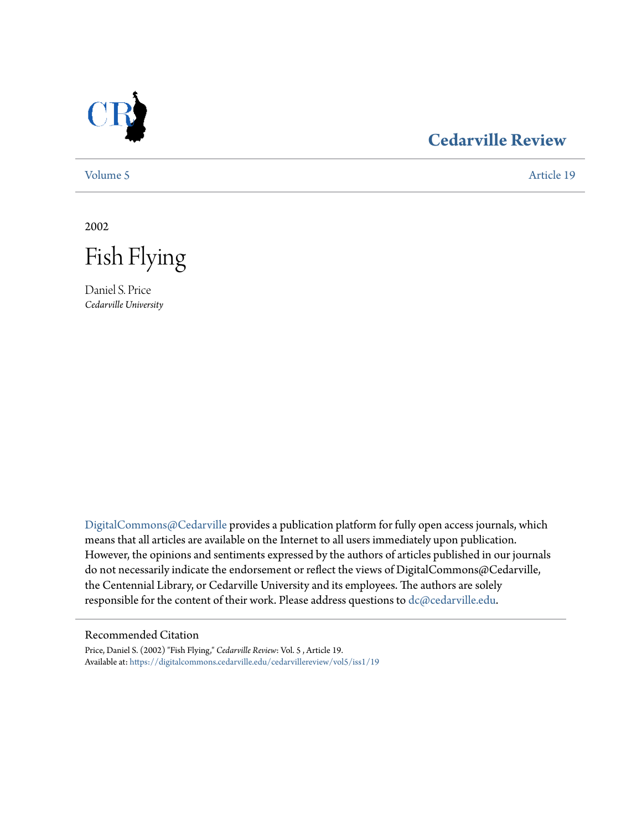

## **[Cedarville Review](https://digitalcommons.cedarville.edu/cedarvillereview?utm_source=digitalcommons.cedarville.edu%2Fcedarvillereview%2Fvol5%2Fiss1%2F19&utm_medium=PDF&utm_campaign=PDFCoverPages)**

[Volume 5](https://digitalcommons.cedarville.edu/cedarvillereview/vol5?utm_source=digitalcommons.cedarville.edu%2Fcedarvillereview%2Fvol5%2Fiss1%2F19&utm_medium=PDF&utm_campaign=PDFCoverPages) [Article 19](https://digitalcommons.cedarville.edu/cedarvillereview/vol5/iss1/19?utm_source=digitalcommons.cedarville.edu%2Fcedarvillereview%2Fvol5%2Fiss1%2F19&utm_medium=PDF&utm_campaign=PDFCoverPages)

2002



Daniel S. Price *Cedarville University*

[DigitalCommons@Cedarville](http://digitalcommons.cedarville.edu) provides a publication platform for fully open access journals, which means that all articles are available on the Internet to all users immediately upon publication. However, the opinions and sentiments expressed by the authors of articles published in our journals do not necessarily indicate the endorsement or reflect the views of DigitalCommons@Cedarville, the Centennial Library, or Cedarville University and its employees. The authors are solely responsible for the content of their work. Please address questions to [dc@cedarville.edu](mailto:dc@cedarville.edu).

#### Recommended Citation

Price, Daniel S. (2002) "Fish Flying," *Cedarville Review*: Vol. 5 , Article 19. Available at: [https://digitalcommons.cedarville.edu/cedarvillereview/vol5/iss1/19](https://digitalcommons.cedarville.edu/cedarvillereview/vol5/iss1/19?utm_source=digitalcommons.cedarville.edu%2Fcedarvillereview%2Fvol5%2Fiss1%2F19&utm_medium=PDF&utm_campaign=PDFCoverPages)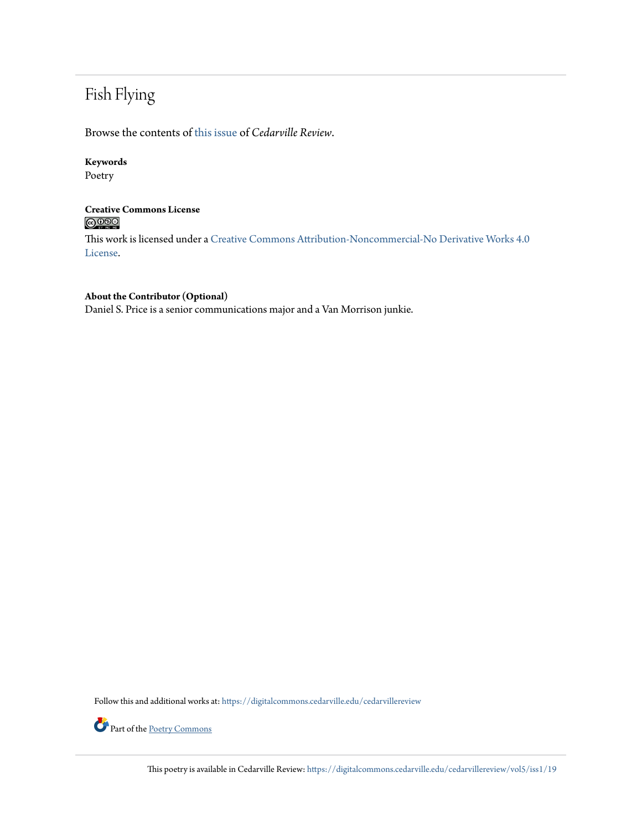# Fish Flying

Browse the contents of [this issue](https://digitalcommons.cedarville.edu/cedarvillereview/vol5/iss1) of *Cedarville Review*.

## **Keywords**

Poetry

### **Creative Commons License**  $\bigcirc$   $\circ$

This work is licensed under a [Creative Commons Attribution-Noncommercial-No Derivative Works 4.0](http://creativecommons.org/licenses/by-nc-nd/4.0/) [License.](http://creativecommons.org/licenses/by-nc-nd/4.0/)

### **About the Contributor (Optional)**

Daniel S. Price is a senior communications major and a Van Morrison junkie.

Follow this and additional works at: [https://digitalcommons.cedarville.edu/cedarvillereview](https://digitalcommons.cedarville.edu/cedarvillereview?utm_source=digitalcommons.cedarville.edu%2Fcedarvillereview%2Fvol5%2Fiss1%2F19&utm_medium=PDF&utm_campaign=PDFCoverPages)



Part of the [Poetry Commons](http://network.bepress.com/hgg/discipline/1153?utm_source=digitalcommons.cedarville.edu%2Fcedarvillereview%2Fvol5%2Fiss1%2F19&utm_medium=PDF&utm_campaign=PDFCoverPages)